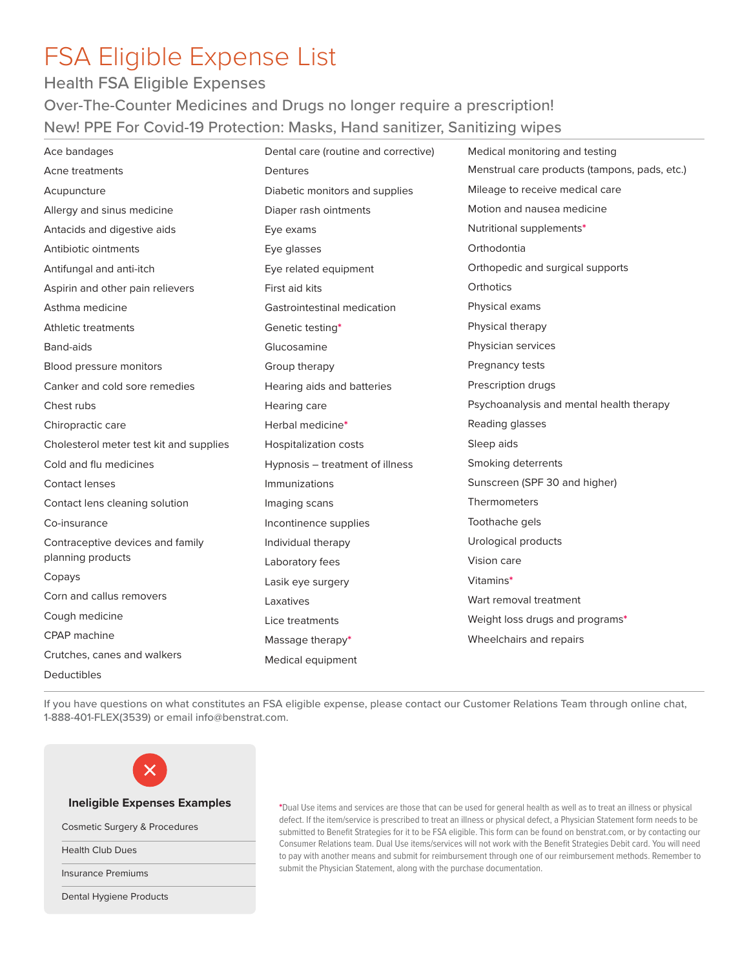# FSA Eligible Expense List

## Health FSA Eligible Expenses

Over-The-Counter Medicines and Drugs no longer require a prescription! New! PPE For Covid-19 Protection: Masks, Hand sanitizer, Sanitizing wipes

| Ace bandages                                          | Dental care (routine and corrective) | Medical monitoring and testing                |
|-------------------------------------------------------|--------------------------------------|-----------------------------------------------|
| Acne treatments                                       | Dentures                             | Menstrual care products (tampons, pads, etc.) |
| Acupuncture                                           | Diabetic monitors and supplies       | Mileage to receive medical care               |
| Allergy and sinus medicine                            | Diaper rash ointments                | Motion and nausea medicine                    |
| Antacids and digestive aids                           | Eye exams                            | Nutritional supplements*                      |
| Antibiotic ointments                                  | Eye glasses                          | Orthodontia                                   |
| Antifungal and anti-itch                              | Eye related equipment                | Orthopedic and surgical supports              |
| Aspirin and other pain relievers                      | First aid kits                       | Orthotics                                     |
| Asthma medicine                                       | Gastrointestinal medication          | Physical exams                                |
| <b>Athletic treatments</b>                            | Genetic testing*                     | Physical therapy                              |
| Band-aids                                             | Glucosamine                          | Physician services                            |
| Blood pressure monitors                               | Group therapy                        | Pregnancy tests                               |
| Canker and cold sore remedies                         | Hearing aids and batteries           | Prescription drugs                            |
| Chest rubs                                            | Hearing care                         | Psychoanalysis and mental health therapy      |
| Chiropractic care                                     | Herbal medicine*                     | Reading glasses                               |
| Cholesterol meter test kit and supplies               | <b>Hospitalization costs</b>         | Sleep aids                                    |
| Cold and flu medicines                                | Hypnosis - treatment of illness      | Smoking deterrents                            |
| <b>Contact lenses</b>                                 | Immunizations                        | Sunscreen (SPF 30 and higher)                 |
| Contact lens cleaning solution                        | Imaging scans                        | Thermometers                                  |
| Co-insurance                                          | Incontinence supplies                | Toothache gels                                |
| Contraceptive devices and family<br>planning products | Individual therapy                   | Urological products                           |
|                                                       | Laboratory fees                      | Vision care                                   |
| Copays                                                | Lasik eye surgery                    | Vitamins*                                     |
| Corn and callus removers                              | Laxatives                            | Wart removal treatment                        |
| Cough medicine                                        | Lice treatments                      | Weight loss drugs and programs*               |
| CPAP machine                                          | Massage therapy*                     | Wheelchairs and repairs                       |
| Crutches, canes and walkers                           | Medical equipment                    |                                               |
| Deductibles                                           |                                      |                                               |

If you have questions on what constitutes an FSA eligible expense, please contact our Customer Relations Team through online chat, 1-888-401-FLEX(3539) or email info@benstrat.com.



**\***Dual Use items and services are those that can be used for general health as well as to treat an illness or physical defect. If the item/service is prescribed to treat an illness or physical defect, a Physician Statement form needs to be submitted to Benefit Strategies for it to be FSA eligible. This form can be found on benstrat.com, or by contacting our Consumer Relations team. Dual Use items/services will not work with the Benefit Strategies Debit card. You will need to pay with another means and submit for reimbursement through one of our reimbursement methods. Remember to submit the Physician Statement, along with the purchase documentation.